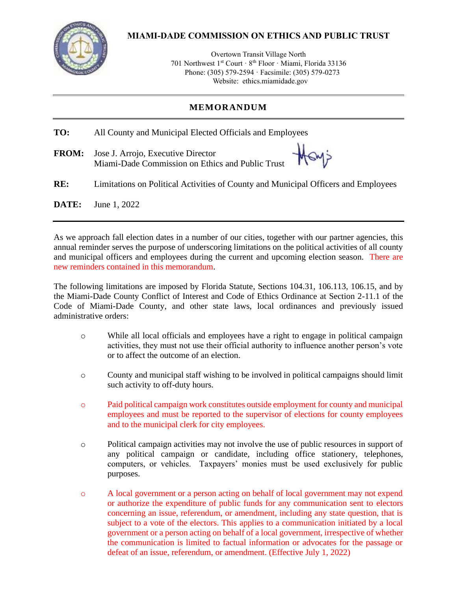

## **MIAMI-DADE COMMISSION ON ETHICS AND PUBLIC TRUST**

Overtown Transit Village North 701 Northwest 1<sup>st</sup> Court · 8<sup>th</sup> Floor · Miami, Florida 33136 Phone: (305) 579-2594 · Facsimile: (305) 579-0273 Website: ethics.miamidade.gov

#### **MEMORANDUM**

| TO:          | All County and Municipal Elected Officials and Employees                           |
|--------------|------------------------------------------------------------------------------------|
| <b>FROM:</b> | Miami-Dade Commission on Ethics and Public Trust                                   |
| RE:          | Limitations on Political Activities of County and Municipal Officers and Employees |
| DATE:        | June 1, 2022                                                                       |

As we approach fall election dates in a number of our cities, together with our partner agencies, this annual reminder serves the purpose of underscoring limitations on the political activities of all county and municipal officers and employees during the current and upcoming election season. There are new reminders contained in this memorandum.

The following limitations are imposed by Florida Statute, Sections 104.31, 106.113, 106.15, and by the Miami-Dade County Conflict of Interest and Code of Ethics Ordinance at Section 2-11.1 of the Code of Miami-Dade County, and other state laws, local ordinances and previously issued administrative orders:

- o While all local officials and employees have a right to engage in political campaign activities, they must not use their official authority to influence another person's vote or to affect the outcome of an election.
- o County and municipal staff wishing to be involved in political campaigns should limit such activity to off-duty hours.
- o Paid political campaign work constitutes outside employment for county and municipal employees and must be reported to the supervisor of elections for county employees and to the municipal clerk for city employees.
- o Political campaign activities may not involve the use of public resources in support of any political campaign or candidate, including office stationery, telephones, computers, or vehicles. Taxpayers' monies must be used exclusively for public purposes.
- o A local government or a person acting on behalf of local government may not expend or authorize the expenditure of public funds for any communication sent to electors concerning an issue, referendum, or amendment, including any state question, that is subject to a vote of the electors. This applies to a communication initiated by a local government or a person acting on behalf of a local government, irrespective of whether the communication is limited to factual information or advocates for the passage or defeat of an issue, referendum, or amendment. (Effective July 1, 2022)